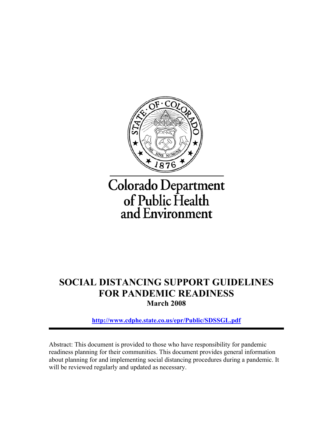

## **SOCIAL DISTANCING SUPPORT GUIDELINES FOR PANDEMIC READINESS March 2008**

**<http://www.cdphe.state.co.us/epr/Public/SDSSGL.pdf>**

Abstract: This document is provided to those who have responsibility for pandemic readiness planning for their communities. This document provides general information about planning for and implementing social distancing procedures during a pandemic. It will be reviewed regularly and updated as necessary.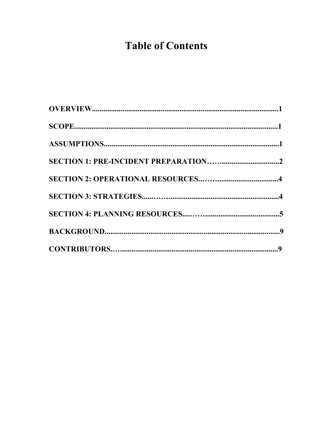# **Table of Contents**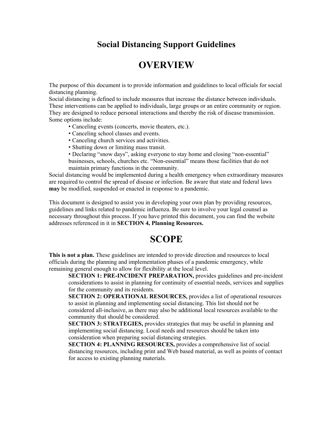### **Social Distancing Support Guidelines**

### **OVERVIEW**

The purpose of this document is to provide information and guidelines to local officials for social distancing planning.

Social distancing is defined to include measures that increase the distance between individuals. These interventions can be applied to individuals, large groups or an entire community or region. They are designed to reduce personal interactions and thereby the risk of disease transmission. Some options include:

- Canceling events (concerts, movie theaters, etc.).
- Canceling school classes and events.
- Canceling church services and activities.
- Shutting down or limiting mass transit.
- Declaring "snow days", asking everyone to stay home and closing "non-essential" businesses, schools, churches etc. "Non-essential" means those facilities that do not maintain primary functions in the community.

Social distancing would be implemented during a health emergency when extraordinary measures are required to control the spread of disease or infection. Be aware that state and federal laws **may** be modified, suspended or enacted in response to a pandemic.

This document is designed to assist you in developing your own plan by providing resources, guidelines and links related to pandemic influenza. Be sure to involve your legal counsel as necessary throughout this process. If you have printed this document, you can find the website addresses referenced in it in **SECTION 4, Planning Resources.** 

### **SCOPE**

**This is not a plan.** These guidelines are intended to provide direction and resources to local officials during the planning and implementation phases of a pandemic emergency, while remaining general enough to allow for flexibility at the local level.

**SECTION 1: PRE-INCIDENT PREPARATION,** provides guidelines and pre-incident considerations to assist in planning for continuity of essential needs, services and supplies for the community and its residents.

**SECTION 2: OPERATIONAL RESOURCES,** provides a list of operational resources to assist in planning and implementing social distancing. This list should not be considered all-inclusive, as there may also be additional local resources available to the community that should be considered.

**SECTION 3: STRATEGIES,** provides strategies that may be useful in planning and implementing social distancing. Local needs and resources should be taken into consideration when preparing social distancing strategies.

**SECTION 4: PLANNING RESOURCES,** provides a comprehensive list of social distancing resources, including print and Web based material, as well as points of contact for access to existing planning materials.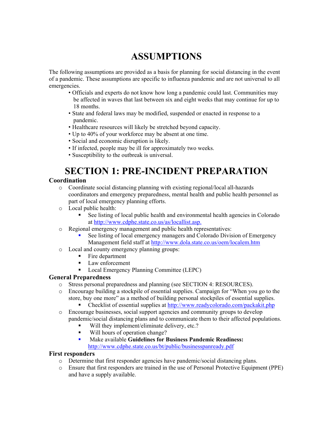## **ASSUMPTIONS**

The following assumptions are provided as a basis for planning for social distancing in the event of a pandemic. These assumptions are specific to influenza pandemic and are not universal to all emergencies.

- Officials and experts do not know how long a pandemic could last. Communities may be affected in waves that last between six and eight weeks that may continue for up to 18 months.
- State and federal laws may be modified, suspended or enacted in response to a pandemic.
- Healthcare resources will likely be stretched beyond capacity.
- Up to 40% of your workforce may be absent at one time.
- Social and economic disruption is likely.
- If infected, people may be ill for approximately two weeks.
- Susceptibility to the outbreak is universal.

## **SECTION 1: PRE-INCIDENT PREPARATION**

#### **Coordination**

- o Coordinate social distancing planning with existing regional/local all-hazards coordinators and emergency preparedness, mental health and public health personnel as part of local emergency planning efforts.
- o Local public health:
	- See listing of local public health and environmental health agencies in Colorado at http://www.cdphe.state.co.us/as/locallist.asp.
- o Regional emergency management and public health representatives:
	- See listing of local emergency managers and Colorado Division of Emergency Management field staff at http://www.dola.state.co.us/oem/localem.htm
- o Local and county emergency planning groups:
	- Fire department
	- **Law enforcement**
	- Local Emergency Planning Committee (LEPC)

#### **General Preparedness**

- o Stress personal preparedness and planning (see SECTION 4: RESOURCES).
- o Encourage building a stockpile of essential supplies. Campaign for "When you go to the store, buy one more" as a method of building personal stockpiles of essential supplies.
	- Checklist of essential supplies at http://www.readycolorado.com/packakit.php
- o Encourage businesses, social support agencies and community groups to develop pandemic/social distancing plans and to communicate them to their affected populations.
	- Will they implement/eliminate delivery, etc.?
	- Will hours of operation change?
	- Make available **Guidelines for Business Pandemic Readiness:**  http://www.cdphe.state.co.us/bt/public/businesspanready.pdf

#### **First responders**

- o Determine that first responder agencies have pandemic/social distancing plans.
- o Ensure that first responders are trained in the use of Personal Protective Equipment (PPE) and have a supply available.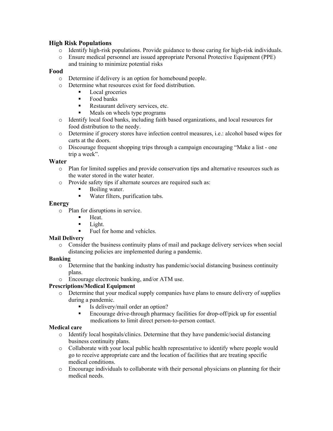#### **High Risk Populations**

- o Identify high-risk populations. Provide guidance to those caring for high-risk individuals.
- o Ensure medical personnel are issued appropriate Personal Protective Equipment (PPE) and training to minimize potential risks

#### **Food**

- o Determine if delivery is an option for homebound people.
- o Determine what resources exist for food distribution.
	- **Local groceries**
	- Food banks
	- Restaurant delivery services, etc.
	- Meals on wheels type programs
- o Identify local food banks, including faith based organizations, and local resources for food distribution to the needy.
- o Determine if grocery stores have infection control measures, i.e.: alcohol based wipes for carts at the doors.
- o Discourage frequent shopping trips through a campaign encouraging "Make a list one trip a week".

#### **Water**

- o Plan for limited supplies and provide conservation tips and alternative resources such as the water stored in the water heater.
- o Provide safety tips if alternate sources are required such as:<br>
Boiling water
	- Boiling water.
	- Water filters, purification tabs.

#### **Energy**

- o Plan for disruptions in service.
	- $Heat$
	- $\blacksquare$  Light.
	- Fuel for home and vehicles.

#### **Mail Delivery**

o Consider the business continuity plans of mail and package delivery services when social distancing policies are implemented during a pandemic.

#### **Banking**

- $\circ$  Determine that the banking industry has pandemic/social distancing business continuity plans.
- o Encourage electronic banking, and/or ATM use.

#### **Prescriptions/Medical Equipment**

- o Determine that your medical supply companies have plans to ensure delivery of supplies during a pandemic.
	- Is delivery/mail order an option?
	- Encourage drive-through pharmacy facilities for drop-off/pick up for essential medications to limit direct person-to-person contact.

#### **Medical care**

- o Identify local hospitals/clinics. Determine that they have pandemic/social distancing business continuity plans.
- o Collaborate with your local public health representative to identify where people would go to receive appropriate care and the location of facilities that are treating specific medical conditions.
- o Encourage individuals to collaborate with their personal physicians on planning for their medical needs.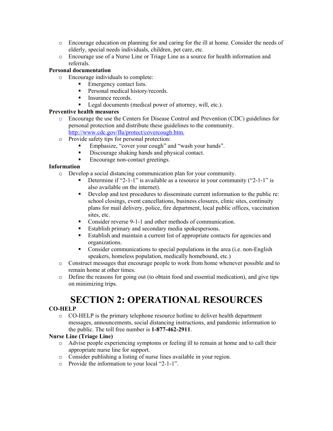- o Encourage education on planning for and caring for the ill at home. Consider the needs of elderly, special needs individuals, children, pet care, etc.
- o Encourage use of a Nurse Line or Triage Line as a source for health information and referrals.

#### **Personal documentation**

- o Encourage individuals to complete:
	- Emergency contact lists.
	- **Personal medical history/records.**
	- **Insurance records.**
	- Legal documents (medical power of attorney, will, etc.).

#### **Preventive health measures**

- o Encourage the use the Centers for Disease Control and Prevention (CDC) guidelines for personal protection and distribute these guidelines to the community. <http://www.cdc.gov/flu/protect/covercough.htm.>
- o Provide safety tips for personal protection:
	- Emphasize, "cover your cough" and "wash your hands".
	- Discourage shaking hands and physical contact.
	- Encourage non-contact greetings.

#### **Information**

- o Develop a social distancing communication plan for your community.
	- Determine if "2-1-1" is available as a resource in your community ("2-1-1" is also available on the internet).
	- Develop and test procedures to disseminate current information to the public re: school closings, event cancellations, business closures, clinic sites, continuity plans for mail delivery, police, fire department, local public offices, vaccination sites, etc.
	- Consider reverse 9-1-1 and other methods of communication.
	- Establish primary and secondary media spokespersons.
	- Establish and maintain a current list of appropriate contacts for agencies and organizations.
	- Consider communications to special populations in the area (i.e. non-English speakers, homeless population, medically homebound, etc.)
- o Construct messages that encourage people to work from home whenever possible and to remain home at other times.
- o Define the reasons for going out (to obtain food and essential medication), and give tips on minimizing trips.

## **SECTION 2: OPERATIONAL RESOURCES**

#### **CO-HELP**

o CO-HELP is the primary telephone resource hotline to deliver health department messages, announcements, social distancing instructions, and pandemic information to the public. The toll free number is **1-877-462-2911**.

#### **Nurse Line (Triage Line)**

- o Advise people experiencing symptoms or feeling ill to remain at home and to call their appropriate nurse line for support.
- o Consider publishing a listing of nurse lines available in your region.
- o Provide the information to your local "2-1-1".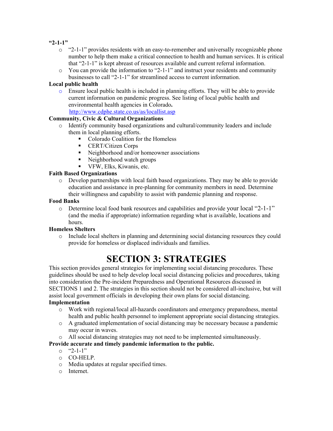#### **"2-1-1"**

- $\circ$  "2-1-1" provides residents with an easy-to-remember and universally recognizable phone number to help them make a critical connection to health and human services. It is critical that "2-1-1" is kept abreast of resources available and current referral information.
- $\circ$  You can provide the information to "2-1-1" and instruct your residents and community businesses to call "2-1-1" for streamlined access to current information.

#### **Local public health**

o Ensure local public health is included in planning efforts. They will be able to provide current information on pandemic progress. See listing of local public health and environmental health agencies in Colorado**.**

<http://www.cdphe.state.co.us/as/locallist.asp>

#### **Community, Civic & Cultural Organizations**

- o Identify community based organizations and cultural/community leaders and include them in local planning efforts.
	- Colorado Coalition for the Homeless
	- **CERT/Citizen Corps**
	- Neighborhood and/or homeowner associations
	- Neighborhood watch groups
	- **VFW, Elks, Kiwanis, etc.**

#### **Faith Based Organizations**

o Develop partnerships with local faith based organizations. They may be able to provide education and assistance in pre-planning for community members in need. Determine their willingness and capability to assist with pandemic planning and response.

#### **Food Banks**

o Determine local food bank resources and capabilities and provide your local "2-1-1" (and the media if appropriate) information regarding what is available, locations and hours.

#### **Homeless Shelters**

o Include local shelters in planning and determining social distancing resources they could provide for homeless or displaced individuals and families.

## **SECTION 3: STRATEGIES**

This section provides general strategies for implementing social distancing procedures. These guidelines should be used to help develop local social distancing policies and procedures, taking into consideration the Pre-incident Preparedness and Operational Resources discussed in SECTIONS 1 and 2. The strategies in this section should not be considered all-inclusive, but will assist local government officials in developing their own plans for social distancing.

#### **Implementation**

- o Work with regional/local all-hazards coordinators and emergency preparedness, mental health and public health personnel to implement appropriate social distancing strategies.
- o A graduated implementation of social distancing may be necessary because a pandemic may occur in waves.
- o All social distancing strategies may not need to be implemented simultaneously.

#### **Provide accurate and timely pandemic information to the public.**

- $\circ$  "2-1-1"
- o CO-HELP.
- o Media updates at regular specified times.
- o Internet.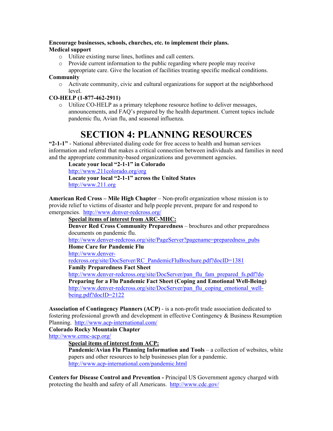#### **Encourage businesses, schools, churches, etc. to implement their plans. Medical support**

- o Utilize existing nurse lines, hotlines and call centers.
- o Provide current information to the public regarding where people may receive appropriate care. Give the location of facilities treating specific medical conditions.

#### **Community**

o Activate community, civic and cultural organizations for support at the neighborhood level.

#### **CO-HELP (1-877-462-2911)**

o Utilize CO-HELP as a primary telephone resource hotline to deliver messages, announcements, and FAQ's prepared by the health department. Current topics include pandemic flu, Avian flu, and seasonal influenza.

## **SECTION 4: PLANNING RESOURCES**

**"2-1-1"** - National abbreviated dialing code for free access to health and human services information and referral that makes a critical connection between individuals and families in need and the appropriate community-based organizations and government agencies.

**Locate your local "2-1-1" in Colorado** 

<http://www.211colorado.org/>org

**Locate your local "2-1-1" across the United States**  [http://www.211.org](http://www.211.org/)

**American Red Cross – Mile High Chapter** – Non-profit organization whose mission is to provide relief to victims of disaster and help people prevent, prepare for and respond to emergencies. <http://www.denver-redcross.org/>

#### **Special items of interest from ARC-MHC:**

**Denver Red Cross Community Preparedness** – brochures and other preparedness documents on pandemic flu.

[http://www.denver-redcross.org/site/PageServer?pagename=preparedness\\_pubs](http://www.denver-redcross.org/site/PageServer?pagename=preparedness_pubs)

#### **Home Care for Pandemic Flu**

[http://www.denver-](http://www.denver-redcross.org/site/DocServer/RC_PandemicFluBrochure.pdf?docID=1381)

[redcross.org/site/DocServer/RC\\_PandemicFluBrochure.pdf?docID=1381](http://www.denver-redcross.org/site/DocServer/RC_PandemicFluBrochure.pdf?docID=1381) **Family Preparedness Fact Sheet** 

[http://www.denver-redcross.org/site/DocServer/pan\\_flu\\_fam\\_prepared\\_fs.pdf?do](http://www.denver-redcross.org/site/DocServer/pan_flu_fam_prepared_fs.pdf?do) **Preparing for a Flu Pandemic Fact Sheet (Coping and Emotional Well-Being)**  http://www.denver-redcross.org/site/DocServer/pan\_flu\_coping\_emotional\_wellbeing.pdf?docID=2122

**Association of Contingency Planners (ACP)** - is a non-profit trade association dedicated to fostering professional growth and development in effective Contingency & Business Resumption Planning. <http://www.acp-international.com/>

#### **Colorado Rocky Mountain Chapter**

<http://www.crmc-acp.org/>

#### **Special items of interest from ACP:**

**Pandemic/Avian Flu Planning Information and Tools – a collection of websites, white** papers and other resources to help businesses plan for a pandemic. <http://www.acp-international.com/pandemic.html>

**Centers for Disease Control and Prevention -** Principal US Government agency charged with protecting the health and safety of all Americans. <http://www.cdc.gov/>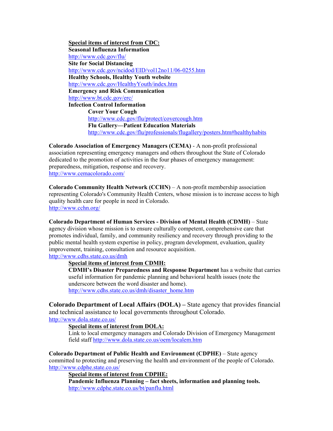**Special items of interest from CDC: Seasonal Influenza Information**  <http://www.cdc.gov/flu/> **Site for Social Distancing**  <http://www.cdc.gov/ncidod/EID/vol12no11/06-0255.htm> **Healthy Schools, Healthy Youth website**  <http://www.cdc.gov/HealthyYouth/index.htm> **Emergency and Risk Communication**  <http://www.bt.cdc.gov/erc/> **Infection Control Information Cover Your Cough**  <http://www.cdc.gov/flu/protect/covercough.htm> **Flu Gallery—Patient Education Materials**  [http://www.cdc.gov/flu/professionals/flugallery/posters.htm#healthyhabits](http://www.cdc.gov/flu/professionals/flugallery/posters.htm)

**Colorado Association of Emergency Managers (CEMA)** - A non-profit professional association representing emergency managers and others throughout the State of Colorado dedicated to the promotion of activities in the four phases of emergency management: preparedness, mitigation, response and recovery. <http://www.cemacolorado.com/>

**Colorado Community Health Network (CCHN)** – A non-profit membership association representing Colorado's Community Health Centers, whose mission is to increase access to high quality health care for people in need in Colorado. <http://www.cchn.org/>

**Colorado Department of Human Services - Division of Mental Health (CDMH)** – State agency division whose mission is to ensure culturally competent, comprehensive care that promotes individual, family, and community resiliency and recovery through providing to the public mental health system expertise in policy, program development, evaluation, quality improvement, training, consultation and resource acquisition.

<http://www.cdhs.state.co.us/dmh>

#### **Special items of interest from CDMH:**

**CDMH's Disaster Preparedness and Response Department** has a website that carries useful information for pandemic planning and behavioral health issues (note the underscore between the word disaster and home). [http://www.cdhs.state.co.us/dmh/disaster\\_home.htm](http://www.cdhs.state.co.us/dmh/disaster_home.htm)

**Colorado Department of Local Affairs (DOLA) –** State agency that provides financial and technical assistance to local governments throughout Colorado. <http://www.dola.state.co.us/>

#### **Special items of interest from DOLA:**

Link to local emergency managers and Colorado Division of Emergency Management field staff<http://www.dola.state.co.us/oem/localem.htm>

**Colorado Department of Public Health and Environment (CDPHE)** – State agency committed to protecting and preserving the health and environment of the people of Colorado. <http://www.cdphe.state.co.us/>

#### **Special items of interest from CDPHE:**

**Pandemic Influenza Planning – fact sheets, information and planning tools.**  <http://www.cdphe.state.co.us/bt/panflu.html>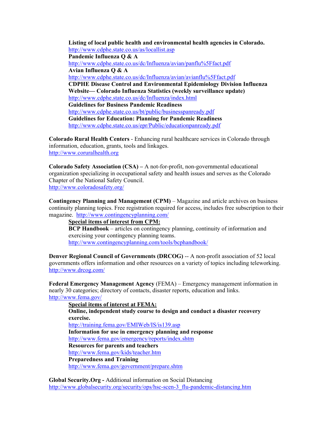**Listing of local public health and environmental health agencies in Colorado.**  <http://www.cdphe.state.co.us/as/locallist.asp> **Pandemic Influenza Q & A**  <http://www.cdphe.state.co.us/dc/Influenza/avian/panflu%5Ffact.pdf> **Avian Influenza Q & A**  <http://www.cdphe.state.co.us/dc/Influenza/avian/avianflu%5Ffact.pdf> **CDPHE Disease Control and Environmental Epidemiology Division Influenza Website— Colorado Influenza Statistics (weekly surveillance update)**  <http://www.cdphe.state.co.us/dc/Influenza/index.html> **Guidelines for Business Pandemic Readiness**  <http://www.cdphe.state.co.us/bt/public/businesspanready.pdf> **Guidelines for Education: Planning for Pandemic Readiness**  <http://www.cdphe.state.co.us/epr/Public/educationpanready.pdf>

**Colorado Rural Health Centers** - Enhancing rural healthcare services in Colorado through information, education, grants, tools and linkages. [http://www.coruralhealth.org](http://www.coruralhealth.org/)

**Colorado Safety Association (CSA) –** A not-for-profit, non-governmental educational organization specializing in occupational safety and health issues and serves as the Colorado Chapter of the National Safety Council. <http://www.coloradosafety.org/>

**Contingency Planning and Management (CPM)** – Magazine and article archives on business continuity planning topics. Free registration required for access, includes free subscription to their magazine. <http://www.contingencyplanning.com/>

**Special items of interest from CPM: BCP Handbook** – articles on contingency planning, continuity of information and exercising your contingency planning teams. <http://www.contingencyplanning.com/tools/bcphandbook/>

**Denver Regional Council of Governments (DRCOG)** -- A non-profit association of 52 local governments offers information and other resources on a variety of topics including teleworking. <http://www.drcog.com/>

**Federal Emergency Management Agency** (FEMA) – Emergency management information in nearly 30 categories; directory of contacts, disaster reports, education and links. <http://www.fema.gov/>

**Special items of interest at FEMA: Online, independent study course to design and conduct a disaster recovery exercise.**  <http://training.fema.gov/EMIWeb/IS/is139.asp> **Information for use in emergency planning and response**  <http://www.fema.gov/emergency/reports/index.shtm> **Resources for parents and teachers**  <http://www.fema.gov/kids/teacher.htm> **Preparedness and Training**  <http://www.fema.gov/government/prepare.shtm>

**Global Security.Org -** Additional information on Social Distancing [http://www.globalsecurity.org/security/ops/hsc-scen-3\\_flu-pandemic-distancing.htm](http://www.globalsecurity.org/security/ops/hsc-scen-3_flu-pandemic-distancing.htm)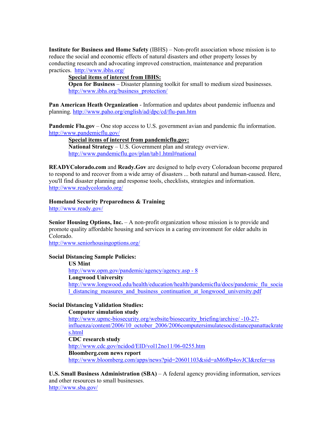**Institute for Business and Home Safety** (IBHS) – Non-profit association whose mission is to reduce the social and economic effects of natural disasters and other property losses by conducting research and advocating improved construction, maintenance and preparation practices. <http://www.ibhs.org/>

#### **Special items of interest from IBHS:**

**Open for Business** – Disaster planning toolkit for small to medium sized businesses. [http://www.ibhs.org/business\\_protection/](http://www.ibhs.org/business_protection/)

**Pan American Heath Organization** - Information and updates about pandemic influenza and planning.<http://www.paho.org/english/ad/dpc/cd/flu-pan.htm>

**Pandemic Flu.gov** – One stop access to U.S. government avian and pandemic flu information. <http://www.pandemicflu.gov/>

**Special items of interest from pandemicflu.gov:**

**National Strategy** – U.S. Government plan and strategy overview. [http://www.pandemicflu.gov/plan/tab1.html#national](http://www.pandemicflu.gov/plan/tab1.html)

**READYColorado.com** and **Ready.Gov** are designed to help every Coloradoan become prepared to respond to and recover from a wide array of disasters ... both natural and human-caused. Here, you'll find disaster planning and response tools, checklists, strategies and information. <http://www.readycolorado.org/>

**Homeland Security Preparedness & Training** 

<http://www.ready.gov/>

**Senior Housing Options, Inc.** – A non-profit organization whose mission is to provide and promote quality affordable housing and services in a caring environment for older adults in Colorado.

<http://www.seniorhousingoptions.org/>

#### **Social Distancing Sample Policies:**

**US Mint**  [http://www.opm.gov/pandemic/agency/agency.asp - 8](http://www.opm.gov/pandemic/agency/agency.asp) **Longwood University**  [http://www.longwood.edu/health/education/health/pandemicflu/docs/pandemic\\_flu\\_socia](http://www.longwood.edu/health/education/health/pandemicflu/docs/pandemic_flu_social_distancing_measures_and_business_continuation_at_longwood_university.pdf) [l\\_distancing\\_measures\\_and\\_business\\_continuation\\_at\\_longwood\\_university.pdf](http://www.longwood.edu/health/education/health/pandemicflu/docs/pandemic_flu_social_distancing_measures_and_business_continuation_at_longwood_university.pdf)

#### **Social Distancing Validation Studies:**

**Computer simulation study**  [http://www.upmc-biosecurity.org/website/biosecurity\\_briefing/archive/ -10-27](http://www.upmc-biosecurity.org/website/biosecurity_briefing/archive/ -10-27- influenza/content/2006/10_october_2006/2006computersimulatesocdistancepanattackrates.html) [influenza/content/2006/10\\_october\\_2006/2006computersimulatesocdistancepanattackrate](http://www.upmc-biosecurity.org/website/biosecurity_briefing/archive/ -10-27- influenza/content/2006/10_october_2006/2006computersimulatesocdistancepanattackrates.html) [s.html](http://www.upmc-biosecurity.org/website/biosecurity_briefing/archive/ -10-27- influenza/content/2006/10_october_2006/2006computersimulatesocdistancepanattackrates.html) **CDC research study**  <http://www.cdc.gov/ncidod/EID/vol12no11/06-0255.htm> **Bloomberg.com news report**  <http://www.bloomberg.com/apps/news?pid=20601103&sid=aM6f0p4ovJCI&refer=us>

U.S. Small Business Administration (SBA) – A federal agency providing information, services and other resources to small businesses. <http://www.sba.gov/>